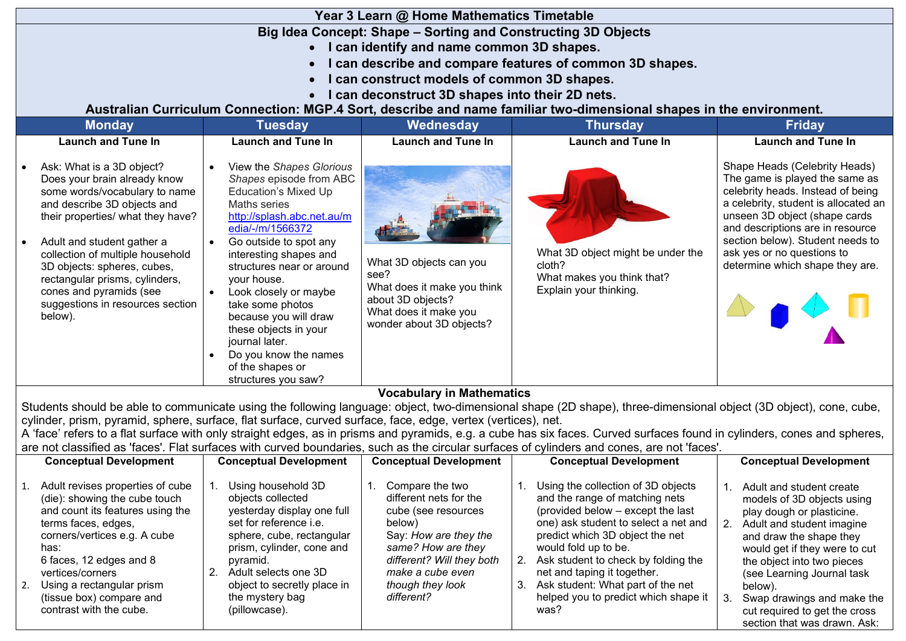| Year 3 Learn @ Home Mathematics Timetable                                                                                                                                                                                                                                                                                                                                   |                                                                                                                                                                                                                                                                                                                                                                                                                                                                        |                                                                                                                                          |                                                                                                                     |                                                                                                                                                                                                                                                                                                                        |  |  |
|-----------------------------------------------------------------------------------------------------------------------------------------------------------------------------------------------------------------------------------------------------------------------------------------------------------------------------------------------------------------------------|------------------------------------------------------------------------------------------------------------------------------------------------------------------------------------------------------------------------------------------------------------------------------------------------------------------------------------------------------------------------------------------------------------------------------------------------------------------------|------------------------------------------------------------------------------------------------------------------------------------------|---------------------------------------------------------------------------------------------------------------------|------------------------------------------------------------------------------------------------------------------------------------------------------------------------------------------------------------------------------------------------------------------------------------------------------------------------|--|--|
| Big Idea Concept: Shape - Sorting and Constructing 3D Objects                                                                                                                                                                                                                                                                                                               |                                                                                                                                                                                                                                                                                                                                                                                                                                                                        |                                                                                                                                          |                                                                                                                     |                                                                                                                                                                                                                                                                                                                        |  |  |
| • I can identify and name common 3D shapes.                                                                                                                                                                                                                                                                                                                                 |                                                                                                                                                                                                                                                                                                                                                                                                                                                                        |                                                                                                                                          |                                                                                                                     |                                                                                                                                                                                                                                                                                                                        |  |  |
| I can describe and compare features of common 3D shapes.                                                                                                                                                                                                                                                                                                                    |                                                                                                                                                                                                                                                                                                                                                                                                                                                                        |                                                                                                                                          |                                                                                                                     |                                                                                                                                                                                                                                                                                                                        |  |  |
| I can construct models of common 3D shapes.                                                                                                                                                                                                                                                                                                                                 |                                                                                                                                                                                                                                                                                                                                                                                                                                                                        |                                                                                                                                          |                                                                                                                     |                                                                                                                                                                                                                                                                                                                        |  |  |
|                                                                                                                                                                                                                                                                                                                                                                             |                                                                                                                                                                                                                                                                                                                                                                                                                                                                        | I can deconstruct 3D shapes into their 2D nets.                                                                                          |                                                                                                                     |                                                                                                                                                                                                                                                                                                                        |  |  |
|                                                                                                                                                                                                                                                                                                                                                                             |                                                                                                                                                                                                                                                                                                                                                                                                                                                                        |                                                                                                                                          | Australian Curriculum Connection: MGP.4 Sort, describe and name familiar two-dimensional shapes in the environment. |                                                                                                                                                                                                                                                                                                                        |  |  |
| <b>Monday</b>                                                                                                                                                                                                                                                                                                                                                               | <b>Tuesday</b>                                                                                                                                                                                                                                                                                                                                                                                                                                                         | Wednesday                                                                                                                                | <b>Thursday</b>                                                                                                     | <b>Friday</b>                                                                                                                                                                                                                                                                                                          |  |  |
| <b>Launch and Tune In</b>                                                                                                                                                                                                                                                                                                                                                   | <b>Launch and Tune In</b>                                                                                                                                                                                                                                                                                                                                                                                                                                              | <b>Launch and Tune In</b>                                                                                                                | <b>Launch and Tune In</b>                                                                                           | <b>Launch and Tune In</b>                                                                                                                                                                                                                                                                                              |  |  |
| Ask: What is a 3D object?<br>Does your brain already know<br>some words/vocabulary to name<br>and describe 3D objects and<br>their properties/ what they have?<br>Adult and student gather a<br>collection of multiple household<br>3D objects: spheres, cubes,<br>rectangular prisms, cylinders,<br>cones and pyramids (see<br>suggestions in resources section<br>below). | View the Shapes Glorious<br>$\bullet$<br>Shapes episode from ABC<br><b>Education's Mixed Up</b><br>Maths series<br>http://splash.abc.net.au/m<br>edia/-/m/1566372<br>Go outside to spot any<br>$\bullet$<br>interesting shapes and<br>structures near or around<br>your house.<br>Look closely or maybe<br>$\bullet$<br>take some photos<br>because you will draw<br>these objects in your<br>journal later.<br>Do you know the names<br>$\bullet$<br>of the shapes or | What 3D objects can you<br>see?<br>What does it make you think<br>about 3D objects?<br>What does it make you<br>wonder about 3D objects? | What 3D object might be under the<br>cloth?<br>What makes you think that?<br>Explain your thinking.                 | Shape Heads (Celebrity Heads)<br>The game is played the same as<br>celebrity heads. Instead of being<br>a celebrity, student is allocated an<br>unseen 3D object (shape cards<br>and descriptions are in resource<br>section below). Student needs to<br>ask yes or no questions to<br>determine which shape they are. |  |  |

## **Vocabulary in Mathematics**

Students should be able to communicate using the following language: object, two-dimensional shape (2D shape), three-dimensional object (3D object), cone, cube, cylinder, prism, pyramid, sphere, surface, flat surface, curved surface, face, edge, vertex (vertices), net.

A 'face' refers to a flat surface with only straight edges, as in prisms and pyramids, e.g. a cube has six faces. Curved surfaces found in cylinders, cones and spheres, are not classified as 'faces'. Flat surfaces with curved boundaries, such as the circular surfaces of cylinders and cones, are not 'faces'.

|  | <b>Conceptual Development</b>                                                                                                                                                                                                                                                                                 |  | <b>Conceptual Development</b>                                                                                                                                                                                                                                    |  | <b>Conceptual Development</b>                                                                                                                                                                                |          | <b>Conceptual Development</b>                                                                                                                                                                                                                                                                                                                                           |                      | <b>Conceptual Development</b>                                                                                                                                                                                                                                                                                      |
|--|---------------------------------------------------------------------------------------------------------------------------------------------------------------------------------------------------------------------------------------------------------------------------------------------------------------|--|------------------------------------------------------------------------------------------------------------------------------------------------------------------------------------------------------------------------------------------------------------------|--|--------------------------------------------------------------------------------------------------------------------------------------------------------------------------------------------------------------|----------|-------------------------------------------------------------------------------------------------------------------------------------------------------------------------------------------------------------------------------------------------------------------------------------------------------------------------------------------------------------------------|----------------------|--------------------------------------------------------------------------------------------------------------------------------------------------------------------------------------------------------------------------------------------------------------------------------------------------------------------|
|  | 1. Adult revises properties of cube<br>(die): showing the cube touch<br>and count its features using the<br>terms faces, edges,<br>corners/vertices e.g. A cube<br>has:<br>6 faces, 12 edges and 8<br>vertices/corners<br>2. Using a rectangular prism<br>(tissue box) compare and<br>contrast with the cube. |  | Using household 3D<br>objects collected<br>yesterday display one full<br>set for reference i.e.<br>sphere, cube, rectangular<br>prism, cylinder, cone and<br>pyramid.<br>Adult selects one 3D<br>object to secretly place in<br>the mystery bag<br>(pillowcase). |  | Compare the two<br>different nets for the<br>cube (see resources<br>below)<br>Say: How are they the<br>same? How are they<br>different? Will they both<br>make a cube even<br>though they look<br>different? | 2.<br>3. | Using the collection of 3D objects<br>and the range of matching nets<br>(provided below – except the last<br>one) ask student to select a net and<br>predict which 3D object the net<br>would fold up to be.<br>Ask student to check by folding the<br>net and taping it together.<br>Ask student: What part of the net<br>helped you to predict which shape it<br>was? | 2 <sub>1</sub><br>З. | Adult and student create<br>models of 3D objects using<br>play dough or plasticine.<br>Adult and student imagine<br>and draw the shape they<br>would get if they were to cut<br>the object into two pieces<br>(see Learning Journal task<br>below).<br>Swap drawings and make the<br>cut required to get the cross |
|  |                                                                                                                                                                                                                                                                                                               |  |                                                                                                                                                                                                                                                                  |  |                                                                                                                                                                                                              |          |                                                                                                                                                                                                                                                                                                                                                                         |                      | section that was drawn. Ask:                                                                                                                                                                                                                                                                                       |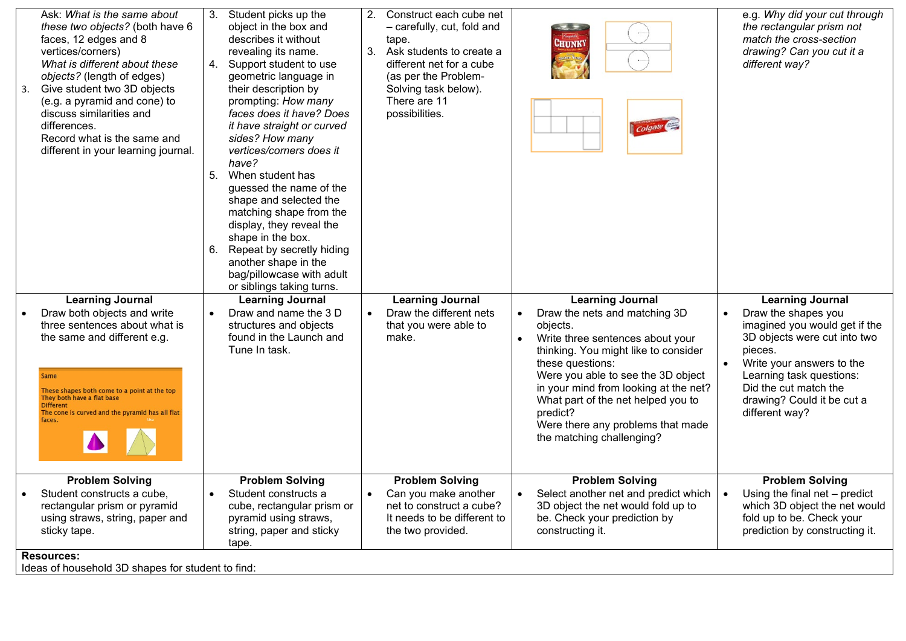| Ask: What is the same about<br>these two objects? (both have 6<br>faces, 12 edges and 8<br>vertices/corners)<br>What is different about these<br>objects? (length of edges)<br>Give student two 3D objects<br>3.<br>(e.g. a pyramid and cone) to<br>discuss similarities and<br>differences.<br>Record what is the same and<br>different in your learning journal. | Student picks up the<br>3.<br>object in the box and<br>describes it without<br>revealing its name.<br>4. Support student to use<br>geometric language in<br>their description by<br>prompting: How many<br>faces does it have? Does<br>it have straight or curved<br>sides? How many<br>vertices/corners does it<br>have?<br>5.<br>When student has<br>guessed the name of the<br>shape and selected the<br>matching shape from the<br>display, they reveal the<br>shape in the box.<br>Repeat by secretly hiding<br>6.<br>another shape in the<br>bag/pillowcase with adult<br>or siblings taking turns. | Construct each cube net<br>2.<br>- carefully, cut, fold and<br>CHUNKY<br>tape.<br>3.<br>Ask students to create a<br>different net for a cube<br>(as per the Problem-<br>Solving task below).<br>There are 11<br>possibilities.<br>Colgate <sup>C</sup>                                                                                                                                                                                                                       | e.g. Why did your cut through<br>the rectangular prism not<br>match the cross-section<br>drawing? Can you cut it a<br>different way?                                                                                                                                      |
|--------------------------------------------------------------------------------------------------------------------------------------------------------------------------------------------------------------------------------------------------------------------------------------------------------------------------------------------------------------------|-----------------------------------------------------------------------------------------------------------------------------------------------------------------------------------------------------------------------------------------------------------------------------------------------------------------------------------------------------------------------------------------------------------------------------------------------------------------------------------------------------------------------------------------------------------------------------------------------------------|------------------------------------------------------------------------------------------------------------------------------------------------------------------------------------------------------------------------------------------------------------------------------------------------------------------------------------------------------------------------------------------------------------------------------------------------------------------------------|---------------------------------------------------------------------------------------------------------------------------------------------------------------------------------------------------------------------------------------------------------------------------|
| <b>Learning Journal</b><br>Draw both objects and write<br>three sentences about what is<br>the same and different e.g.<br><b>Same</b><br>These shapes both come to a point at the top<br>They both have a flat base<br><b>Different</b><br>The cone is curved and the pyramid has all flat<br>faces.                                                               | <b>Learning Journal</b><br>Draw and name the 3 D<br>$\bullet$<br>structures and objects<br>found in the Launch and<br>Tune In task.                                                                                                                                                                                                                                                                                                                                                                                                                                                                       | <b>Learning Journal</b><br><b>Learning Journal</b><br>Draw the different nets<br>Draw the nets and matching 3D<br>$\bullet$<br>that you were able to<br>objects.<br>make.<br>Write three sentences about your<br>thinking. You might like to consider<br>these questions:<br>Were you able to see the 3D object<br>in your mind from looking at the net?<br>What part of the net helped you to<br>predict?<br>Were there any problems that made<br>the matching challenging? | <b>Learning Journal</b><br>Draw the shapes you<br>$\bullet$<br>imagined you would get if the<br>3D objects were cut into two<br>pieces.<br>Write your answers to the<br>Learning task questions:<br>Did the cut match the<br>drawing? Could it be cut a<br>different way? |
| <b>Problem Solving</b><br>Student constructs a cube,<br>rectangular prism or pyramid<br>using straws, string, paper and<br>sticky tape.<br><b>Resources:</b><br>Ideas of household 3D shapes for student to find:                                                                                                                                                  | <b>Problem Solving</b><br>Student constructs a<br>cube, rectangular prism or<br>pyramid using straws,<br>string, paper and sticky<br>tape.                                                                                                                                                                                                                                                                                                                                                                                                                                                                | <b>Problem Solving</b><br><b>Problem Solving</b><br>Select another net and predict which<br>Can you make another<br>net to construct a cube?<br>3D object the net would fold up to<br>It needs to be different to<br>be. Check your prediction by<br>the two provided.<br>constructing it.                                                                                                                                                                                   | <b>Problem Solving</b><br>$\bullet$<br>Using the final net – predict<br>which 3D object the net would<br>fold up to be. Check your<br>prediction by constructing it.                                                                                                      |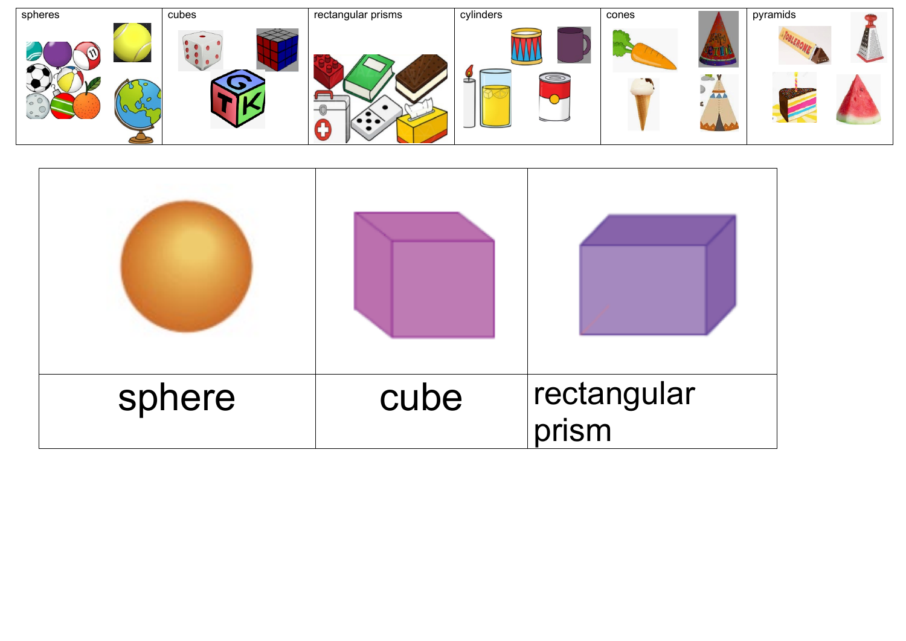

| sphere | cube | rectangular<br> prism |
|--------|------|-----------------------|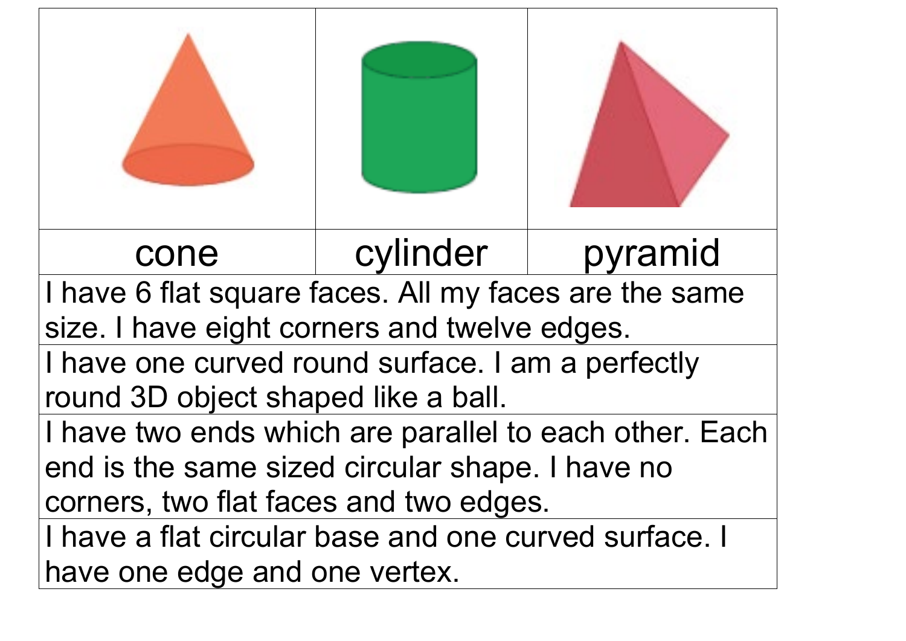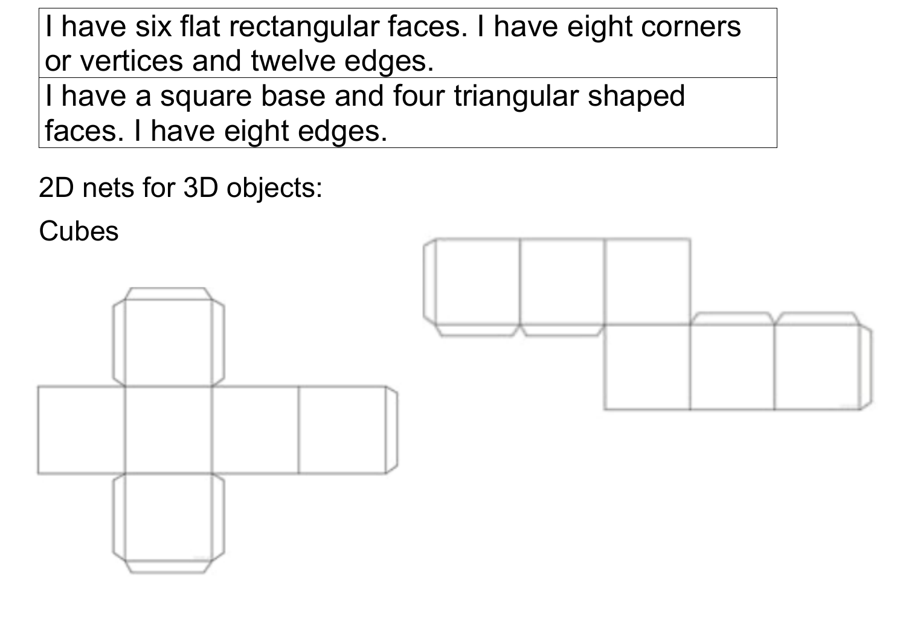I have six flat rectangular faces. I have eight corners or vertices and twelve edges.

I have a square base and four triangular shaped faces. I have eight edges.

2D nets for 3D objects:



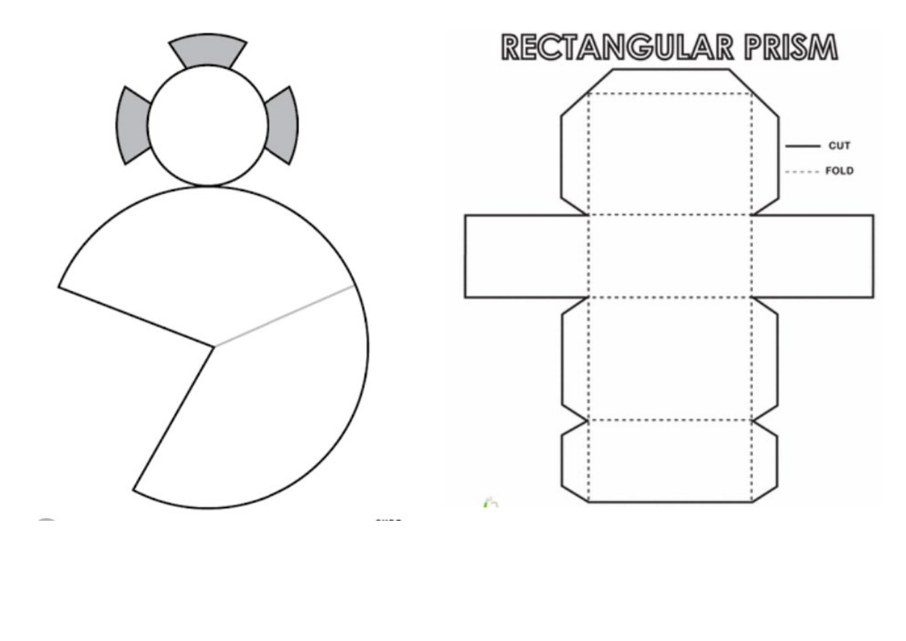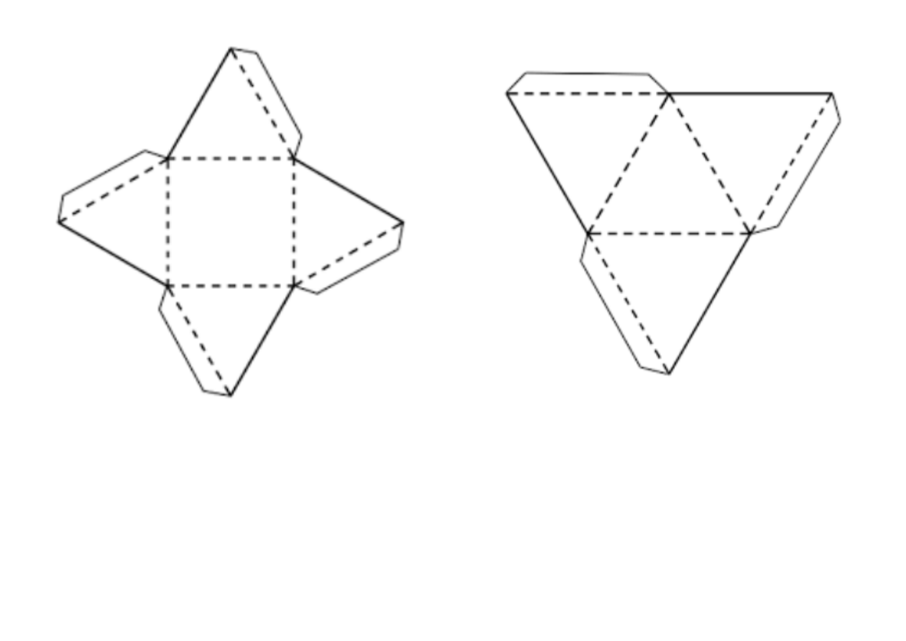

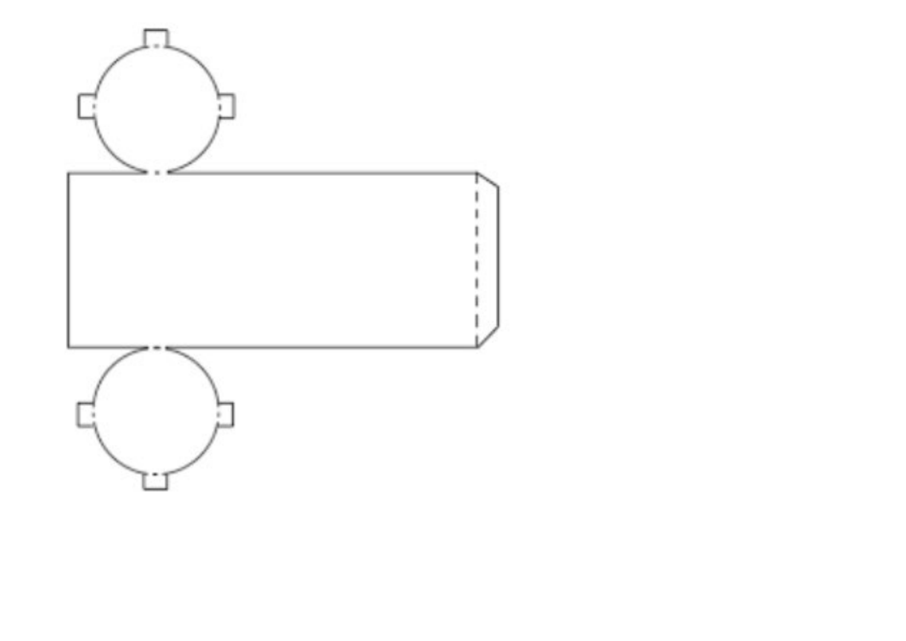